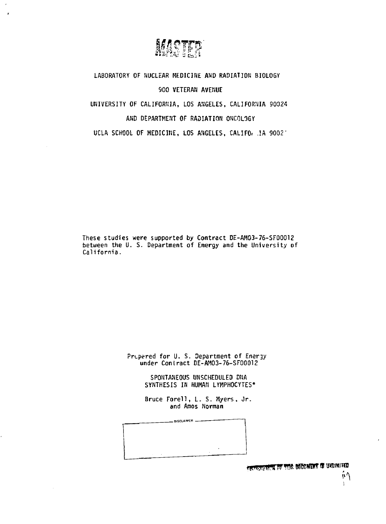

**LABORATORY OF NUCLEAR KEDICIHE AND RADIATION BIOLOGY 900 VETERAN AVEMUE UNIVERSITY OF CALIFORNIA, LOS ANGELES, CALIFORNIA 90024 AND DEPARTMENT OF RADIATION ONCOLOGY UCLA SCHOOL OF MEDICINE, LOS ANGELES, CALIFOr .!A 9002'** 

**These studies were supported by Contract DE-AH03-76-SF00012 between the U. S. Department of Energy and the University of California.** 

> **Prt-pered for U. S. Department of Energy under Contract DE-AM03-76-SF00012**

> > **SPONTANEOUS UNSCHEDULED DMA SYNTHESIS IN HUMAN LYMPHOCYTES\***

Bruce Forell, L. S. Myers, Jr. **and Amos Norman** 

DISCLAIMER -

OF CONTRACT OF THIS DIRECT IS UNLIMITED

ņ۹  $\lambda$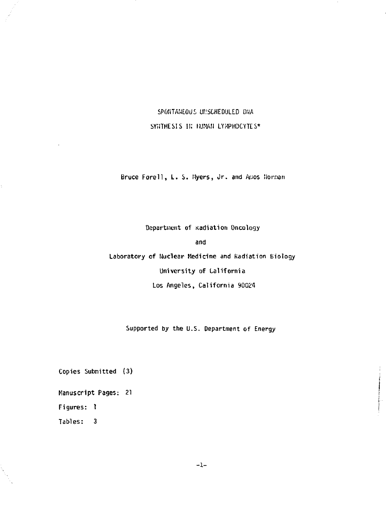SPONTANEOUS UNSCHEDULED DNA SYNTHESIS IN HUMAN LYMPHOCYTES\*

Bruce Forell, L. S. Myers, Jr. and Amos Norman

Department of Radiation Oncology and **Laboratory of Nuclear Medicine and Kadiation Biology University of California Los Angeles, California 90024** 

**Supported by the U.S. Department of Energy** 

**Copies Submitted (3)** 

**Manuscript Pages: 21** 

**Figures: 1** 

**Tables: 3** 

**-1-**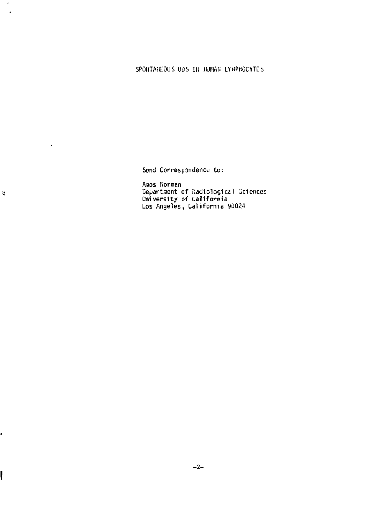## 5P0liTA!iE0US UOS IH HUMAN LYilPHOCYTES

Send Correspondence to :

Amos Norman Department of Radiological Sciences University of California Los Angeles, California 90024

 $\mathbf{d}$ 

 $\ddot{\phantom{0}}$ 

 $\epsilon$  $\bar{a}$ 

**!** 

.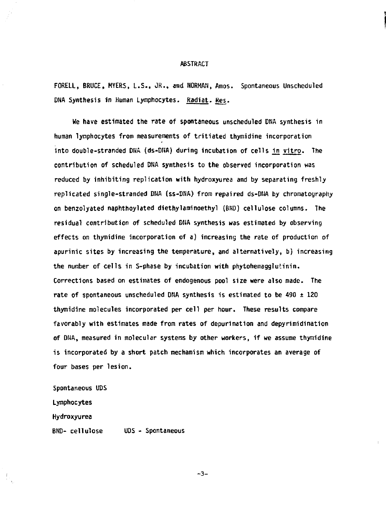#### **ABSTRACT**

**FORELL, BRUCE, MYERS, L.S., JR., and NORMAN, Amos. Spontaneous Unscheduled**  DNA Synthesis in Human Lymphocytes. Radiat. Res.

**We have estimated the rate of spontaneous unscheduled DNA synthesis in human lymphocytes from measurements of tritiated thymidine incorporation into double-stranded DHA (ds-DNA) during incubation of cells in vitro. The contribution of scheduled DNA synthesis to the observed incorporation was reduced by inhibiting replication with hydroxyurea and by separating freshly replicated single-stranded DNA (ss-DNA) from repaired ds-DNA by chromatography on benzolyated naphthoylated diethyl ami noethyl (BUD) cellulose columns. The residual contribution of scheduled DNA synthesis was estimated by observing effects on thymidine incorporation of a) increasing the rate of production of apurinic sites by increasing the temperature, and alternatively, b) increasing the number of cells in S-phase by incubation with phytohemagglutinin. Corrections based on estimates of endogenous pool size were also made. The rate of spontaneous unscheduled DNA synthesis is estimated to be 490 ± 120 thymidine molecules incorporated per cell per hour. These results compare favorably with estimates made from rates of depurination and depyrimidination of DNA, measured in molecular systens by other workers, if we assume thymidine is incorporated by a short patch mechanism which incorporates an average of four bases per lesion.** 

**Spontaneous UDS Lymphocytes Hydroxyurea BND- cellulose UDS - Spontaneous** 

**-3-**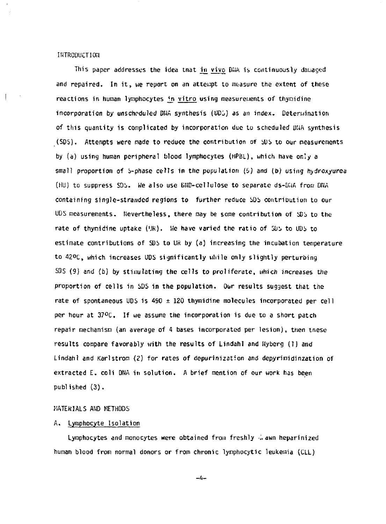#### INTRODUCTION

This paper addresses the idea tnat in vivo DNA is continuously damaged and repaired. In it, we report on an attempt to measure the extent of these reactions in human lymphocytes in vitro using measurements of thymidine incorporation by unscheduled D1JA synthesis (UDi) as *an* index. Deteruination of this quantity is complicated by incorporation due to scheduled DNA synthesis (SDS). Attempts were made to reduce the contribution of SDS to our measurements by (a) using human peripheral blood lymphocytes (HPBL), which have only a small proportion of S-phase cells in the population (5) and (b) using hydroxyurea  $(HU)$  to suppress  $SDS$ . We also use  $Diff-cellulose$  to separate ds- $Diff-Gen$  Df $IA$ containing single-stranded regions to further reduce SDS contribution to our <code>UDS</code> measurements. Nevertheless, there may be some contribution of  $\mathfrak{D}$ s to the rate of thymidine uptake ('JR). We have varied the ratio of SDS to UDS to estimate contributions of SDS to UR by (a) increasing the incubation temperature to 42°C, which increases UDS significantly while only slightly perturbing  $SDS(9)$  and (b) by stimulating the cells to proliferate, which increases the proportion of cells in SDS in the population. Our results suggest that the rate of spontaneous UDS is  $490 \pm 120$  thymidine molecules incorporated per cell per hour at  $37^{\circ}$ C. If we assume the incorporation is due to a short patch repair mechanism (an average of 4 bases incorporated per lesion), then tnese results compare favorably with the results of Lindahl and Hyberg (I) and Lindahl and Karlstrom *(2)* for rates of depurinization and depyrinidinzation of extracted E, coli DNA in solution. A brief mention of our work has been published (3).

#### MATERIALS AND METHODS

## A. Lymphocyte Isolation

Lymphocytes and monocytes were obtained from freshly i, awn heparinized human blood from normal donors or from chronic lymphocytic leukemia (CLL)

-A-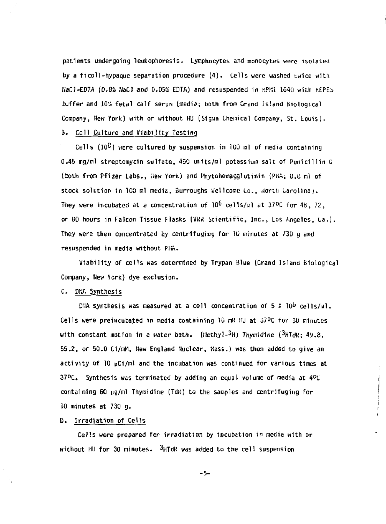patients undergoing leukophoresis. Lymphocytes and monocytes were isolated by a ficoll-hypaque separation procedure (4). Cells were washed twice with NaCl-EDTA (0.8% NaCl and 0.05% EDTA) and resuspended in KPM1 1640 with HEPES buffer and 10% fetal calf serum (media; both from Grand Island Biological Company, New York) with or without HU (Sigma Chemical Company, St. Louis).

# B. Cell Culture and Viability Testing

Cells  $(10^2)$  were cultured by suspension in 100 ml of media containing 0.45 mg/ml streptomycin sulfate, 450 units/ml potassium salt of Penicillin G (both from Pfizer Labs., Hew York) and Phytohemagglutinin (PHA; 0.8 ml of stock solution in 1C0 ml media, Burroughs Wellcome Co., .iorth Carolina). They were incubated at a concentration of  $10^6$  cells/ml at 37°C for 48, 72, or 80 hours in Falcon Tissue Flasks (VWR Scientific, Inc., Los Angeles, Ca.). They were then concentrated by centrifuging for 10 minutes at 730 g and resuspended in media without PHA.

Viability of cells was determined by Trypan Blue (Grand Island Biological Company, Hew York) dye exclusion.

## C. DMA Synthesis

DNA synthesis was measured at a cell concentration of 5 X 10º cells/ml. Cells were preincubated in media containing 10 nil Hu at 37°C for 30 minutes with constant motion in a water bath. (Methyl-3H) Thymidine  $(3HTHK; 49.8,$ 55.2, or 50.0 Ci/mM, Hew England Nuclear, Mass.) was then added to give an activity of 10  $\mu$ Ci/ml and the incubation was continued for various times at  $37^{\circ}$ C. Synthesis was terminated by adding an equal volume of media at  $4^{\circ}$ C containing 60  $\mu$ g/ml Thymidine (TdR) to the samples and centrifuging for 10 minutes at 730 g.

#### D. Irradiation of Cells

Cells were prepared for irradiation by incubation in media with or without HU for 30 minutes. PHTdR was added to the cell suspension

 $-5 -$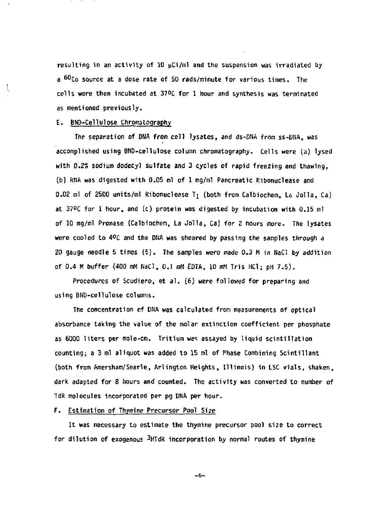**resulting in an activity of 10 pCi/ml and the suspension was irradiated by a <sup>60</sup> C o source at a dose rate of 50 rads/minute for various times. The cells were then incubated at 37°C for 1 hour and synthesis was terminated as mentioned previously.** 

## **E. BND-Cellulose Chromatography**

**The separation of DNA from cell lysates, and ds-DNA** *from* **ss-DNA, was accomplished using BNu-cellulose column chromatography. Cells were (a) lysed with** *0.2%* **sodium dodecyl sulfate and 3 cycles of rapid freezing and thawing, (b) RNA was digested with 0.05 ml of 1 mg/ml Pancreatic Ribonuclease and 0.02 ml of 25C0 units/ml Kibonuclease Tj (both from Calbiochem, La Jolla, Ca) at 37°C for 1 hour, and (c) protein was digested by incubation with 0.15 ml of 10 mg/ml Pronase (Calbiochen, La Jolla, Ca) for** *Z* **hours more. The lysates**  were cooled to 4ºC and the DNA was sheared by passing the samples through a **20 gauge needle 5 times (5). The sanples were made 0.3 M in NaCl by addition of 0.4 M buffer (400 mM NaCl, O.l nM EDTA, 10 mN Tris HC1; pH 7.5).** 

**Procedures of Scudiero, et** *at.* **(6) were followed for preparing and using BNu-cellulose columns.** 

**The concentration of DNA was calculated from measurements of optical absorbance taking the value of the molar extinction coefficient per phosphate as 6000 liters per mole-cm. Tritium was assayed by liquid scintillation counting; a 3 ml aliquot was added to 15 ml of Phase Combining Scintillant (both from Amersham/Searle, Arlington Heights, Illinois) in LSC vials, shaken, dark adapted for 8 hours and counted. The activity was converted to number of TdR molecules incorporated per pg DMA per hour.** 

## **F. Estimation of Thymine Precursor Pool Size**

**It was necessary to estimate the thymine precursor pool size to correct for dilution of exogenous ^HTdR incorporation by normal routes of thymine** 

-6-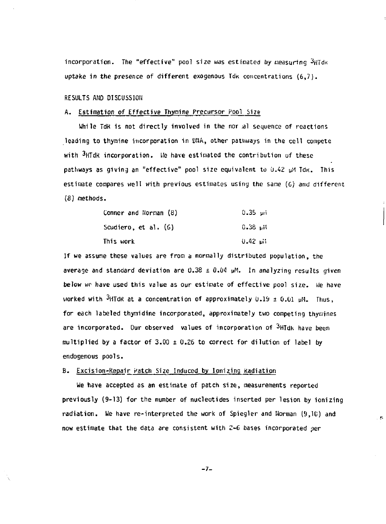**incorporation.** The "effective" pool size was estimated by measuring  ${}^{3}H$ Td<sub>K</sub> uptake in the presence of different exogenous Idk concentrations (6.7).

**RESULTS AND DISCUSSION** 

#### **A. Estimation of Effective Thymine Precursor Pool Size**

**While TdK is not directly involved in the nor :al sequence of reactions leading to thymine incorporation in WA , other pathways in the cell compete with 3nTdK incorporation, l/e have estimated the contribution of these pathways as giving an "effective" pool size equivalent to 0.42 uM TdK. This**  estimate compares well with previous estimates using the same (6) and different **(8) nethods.** 

| Conner and Norman (8) | $0.35$ uni |
|-----------------------|------------|
| Scudiero, et al. (6)  | $H_1$ 32.0 |
| This work             | Ս.42 ամ    |

**If we assume these values are from a normally distributed population, the**  average and standard deviation are  $0.38 \pm 0.04$   $\mu$ M. In analyzing results given **below wr have used this value as our estinate of effective pool size. We have**  worked with  $3HTdR$  at a concentration of approximately  $0.19 \pm 0.01$   $\mu$ M. Thus, **for each labeled thymidine incorporated, approximately two competing thymines are incorporated. Our observed values of incorporation of ^HTdh have been multiplied by a factor of 3.00 ± 0.26 to correct for dilution of label by endogenous pools.** 

## **B. Excision-Repair Patch Size Induced by Ionizing Kadiation**

**we have accepted as an estimate of patch size, measurements reported previously (9-13) for the number of nucleotides inserted per lesion by ionizing radiation. He have re-interpreted the work of Spiegler and Norman (9,10) and now estimate that the data are consistent with 2-6 bases incorporated per** 

 $\overline{B}$ 

**-7-**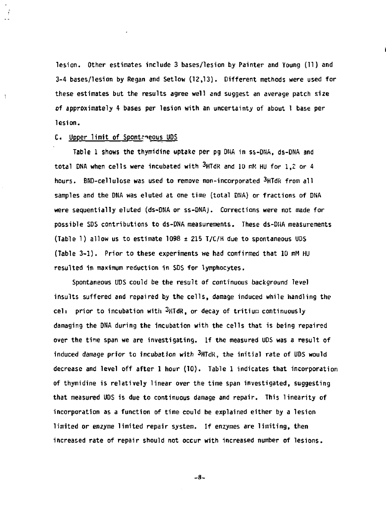**lesion. Other estimates include 3 bases/lesion by Painter and Voung (11) and 3-4 bases/lesion by Regan and Setlow (12,13). Different methods were used for these estimates but the results agree well and suggest an average patch size of approximately 4 bases per lesion with an uncertainty of about 1 base per lesion.** 

#### **C. Upper limit of Spontfeous UPS**

Ŧ

**Table 1 shows the thymidine uptake per pg DNA in ss-DNA, ds-DNA and**  total DNA when cells were incubated with <sup>3</sup>HTdR and 10 mM HU for 1.2 or 4 **hours. BND-cellulose was used to remove non-incorporated <sup>3</sup>HTdft from all samples and the DNA was eluted at one time (total DHA) or fractions of DNA were sequentially eluted (ds-OHA or ss-DNAj. Corrections were not made for possible SDS contributions to ds-DNA measurements. These ds-DNA measurements (Table 1) allow us to estimate 1098 ±215 T/C/H due to spontaneous UDS (Table 3-1). Prior to these experiments we had confirmed that 10 mM HU resulted in maximum reduction in SDS for lymphocytes.** 

**Spontaneous ODS could be the result of continuous background level insults suffered and repaired by the cells, damage induced while handling the cell prior to incubation with 3nTdR, or decay of tritium continuously damaging the DNA during the incubation with the cells that is being repaired over the time span we are investigating. If the measured UDS was a result of induced damage prior to incubation with 3nTdK, the initial rate of UDS would decrease and level off after 1 hour (10). Table 1 indicates that incorporation of thymidine is relatively linear over the time span investigated, suggesting that measured UDS is due to continuous damage and repair. This linearity of incorporation as a function of time could be explained either by a lesion limited or enzyme limited repair system. If enzymes are limiting, then increased rate of repair should not occur with increased number of lesions.** 

- 8-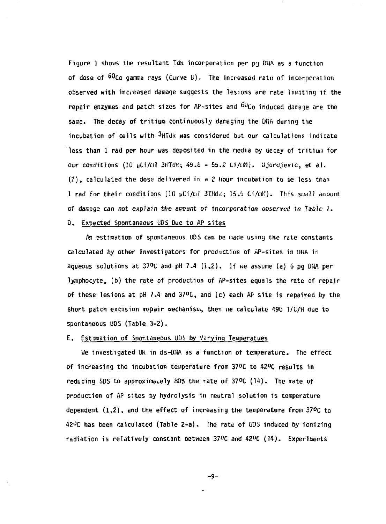Figure 1 shows the resultant Tdk incorporation per pg DNA as a function of dose of  $60$ Co gamma rays (Curve B). The increased rate of incorporation observed with increased damage suggests the lesions are rate limiting if the repair enzymes and patch sizes for AP-sites and  $^{60}$ Co induced damage are the same. The decay of tritium continuously damaging the DNA during the incubation of cells with <sup>3</sup>HTdR was considered but our calculations indicate less than  $1$  rad per hour was deposited in the media by decay of tritium for  $\,$ Our conditions (10 uCi/o? 3HTdK; 4&.S - 5i. 2 Li/r.iM). Ujordjevic, et *al.*  (7), calculated the dose delivered in a 2 hour incubation to ue less than 1 rad for their conditions [10 yCi/tal 3THdi<; 15.9 Ci/«'•")• This small anourit of damage can not explain the amount of incorporation ooserved in Table 1. D. Expected Spontaneous UPS Due to AP sites

An estimation of spontaneous UDS can be made using the rate constants calculated by other investigators for production of AP-sites in DNA in aqueous solutions at  $37^{\circ}$ C and pH 7.4 (1,2). If we assume (a) 6 pg DNA per lymphocyte, (b) the rate of production of AP-sites equals the rate of repair of these lesions at pH 7.4 and  $37^{\circ}$ C, and (c) each AP site is repaired by the short patch excision repair mechanism, then we calculate 490 T/C/H due to spontaneous UDS (Table 3-2).

## E. Estimation of Spontaneous UDS by Varying Temperatues

Ue investigated Uk in ds-DMA as a function of temperature. The effect of increasing the incubation temperature from 37°C to 42°C results in reducing SDS to approximately *W>%* the rate of 37°C (14). The rate of production of AP sites by hydrolysis in neutral solution is temperature dependent  $(1,2)$ , and the effect of increasing the temperature from 37°C to  $42^{\circ}$ C has been calculated (Table 2-a). The rate of UDS induced by ionizing radiation is relatively constant between  $37^{\circ}$ C and  $42^{\circ}$ C (14). Experiments

**- 9 -**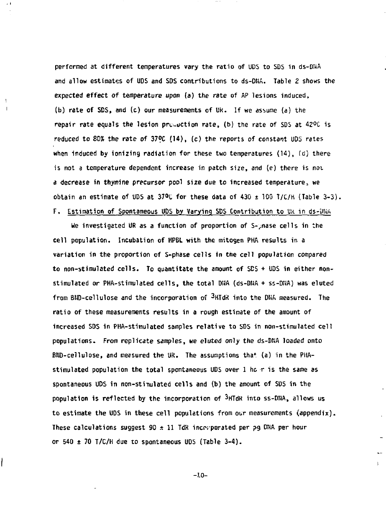performed at different temperatures vary the ratio of UDS to SDS in ds-DHA and allow estimates of UDS and SDS contributions to ds-DNA. Table 2 shows the expected effect of temperature upon (a) the rate of AP lesions induced, (b) rate of SDS, and (c) our measurements of UK. If we assume (a) the repair rate equals the lesion preduction rate, (b) the rate of SDS at  $42^{\circ}$ C is reduced to 80% the rate of 37ºC (14), (c) the reports of constant UDS rates when induced by ionizing radiation for these two temperatures  $(14)$ ,  $(d)$  there is not a temperature dependent increase in patch size, and (e) there is not a decrease in thymine precursor pool size due to increased temperature, we obtain an estimate of UDS at 37°C for these data of 430  $\pm$  100 T/C/H (Table 3-3).

# F. Estimation of Spontaneous UDS by Varying SDS Contribution to Uk in ds-DNA

He investigated UR as a function of proportion of S->nase cells in the cell population. Incubation of HPBL with the mitogen PHA results in a variation in the proportion of S-phase cells in the cell population compared to non-stimulated cells. To quantitate the amount of SCS + UDS in either nonstimulated or PHA-stimulated cells, the total DHA (ds-DNA + ss-DNA) was eluted from BND-cellulose and the incorporation of <sup>3</sup>HTdR into the DNA measured. The ratio of these measurements results in a rough estimate of the amount of increased SDS in PHA-stimulated samples relative to SDS in non-stimulated cell populations. From replicate samples, we eluted only the ds-DNA loaded onto BHD-cellulose, and measured the UR. The assumptions tha\* (a) in the PIIAstimulated population the total spontaneous UDS over 1 he r is the same as spontaneous UDS in non-stinulated cells and (b) the amount of SDS in the population is reflected by the incorporation of  $3HJdK$  into ss-DNA, allows us to estimate the UDS in these cell populations from our measurements (appendix). These calculations suggest  $90 \pm 11$  TdR incorporated per pg DNA per hour or 540  $\pm$  70 T/C/H due to spontaneous UDS (Table 3-4).

**-10 -**

**I**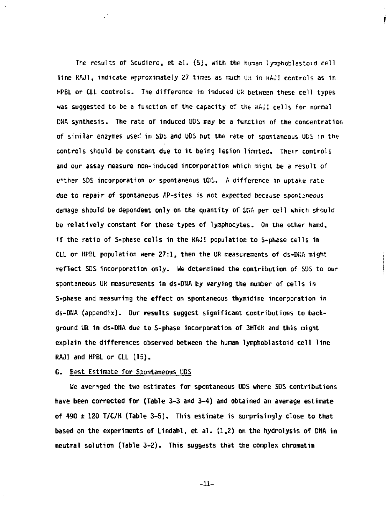The results of Scudiero, et al.  $(5)$ , with the human lymphoblastoid cell line RAJI, indicate approximately 27 tines as much Uk in KAJI controls as in HPBL or CLL controls. The difference in induced UK between these cell types was suggested to be a function of the capacity of the KAJI ceils for normal DHA synthesis. The rate of induced UDS may be a function of the concentration of similar enzymes used in SDS and UDS but the rate of spontaneous UDS in the controls should be constant due to it being lesion limited. Their controls and our assay measure non-induced incorporation which night be a result of either SDS incorporation or spontaneous UDS. A difference in uptake ratedue to repair of spontaneous AP-sites is not expected because spontaneous damage should be dependent only on the quantity of DNA per cell which should be relatively constant for these types of lymphocytes. On the other hand, if the ratio of S-phase cells in the RAJI population to S-phase cells in CLL or HPBL population were 27:1, then the UR measurements of ds-DNA might reflect SDS incorporation only. We deternined the contribution of SDS to our spontaneous IIR measurements in ds-DNA by varying the number of cells in S-phase and measuring the effect on spontaneous thymidine incorporation in ds-DNA (appendix). Our results suggest significant contributions to background UR in ds-DHA due to S-phase incorporation of 3HTdK and this might explain the differences observed between the human lymphoblastoid cell line RAJI and HPBL or CLL (15).

#### 6. Best Estimate for Spontaneous UDS

We averaged the two estimates for spontaneous UDS where SDS contributions have been corrected for (Table 3-3 and 3-4) and obtained an average estimate of 490  $\pm$  120 T/C/H (Table 3-5). This estimate is surprisingly close to that based on the experiments of Lindahl, et al.  $(1,2)$  on the hydrolysis of DNA in neutral solution (Table 3-2). This suggests that the complex chromatin

**-11 -**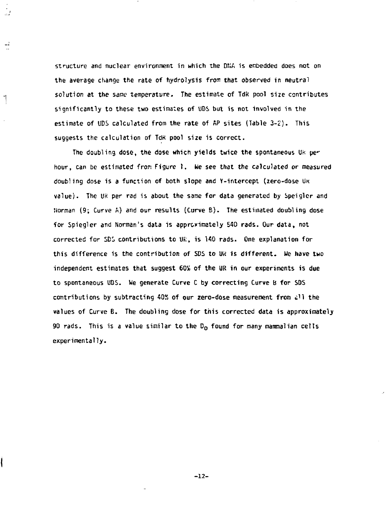**structure and nuclear environment in which the DNA is embedded does not on the average change the rate of hydrolysis from that observed in neutral solution at the same temperature. The estimate of Tdk pool size contributes significantly to these two estimates of UDS but is not involved in the estimate of UDS calculated from the rate of fiP sites (Table 3-2). This suggests the calculation of TdK pool size is correct.** 

 $\frac{1}{2}$ 

 $\frac{1}{2}$ 

۱

**The doubling dose, the dose which yields twice the spontaneous Uk pe**hour, can be estimated from Figure 1. We see that the calculated or measured **doubling dose is a function of both slope and Y-intercept (zero-dose UN value). The UK per rad is about the same for data generated by Speiglcr and Norman (9; Curve A) and our results (Curve B) . The estimated doubling dose for Spiegler and Norman's data is approximately 540 rads. Our data, not**  corrected for SDS contributions to UR, is 140 rads. One explanation for **this difference is the contribution of SDS to** *\)H* **is different. We have two independent estimates that suggest 60S of the UR in our experiments is due to spontaneous UDS. We generate Curve C by correcting Curve B for SOS contributions by subtracting 4QX of our zero-dose measurement from £ll the values of Curve B. The doubling dose for this corrected data is approximately**  90 rads. This is a value similar to the D<sub>o</sub> found for many mammalian cells **experimentally.** 

**-12-**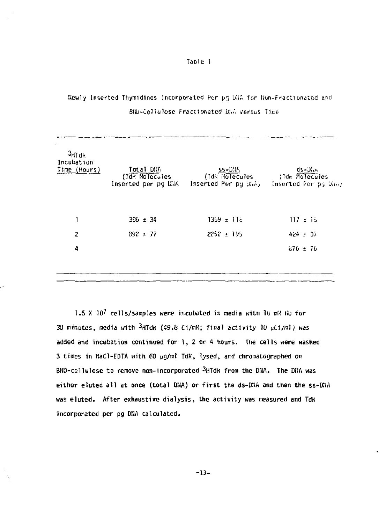TaDle 1

# Newly Inserted Thymidines Incorporated Per pg DNA for Non-Fractionated and BfiU-Cellulose fractionated *UU,'-.* Versus Tine

| ٠<br>$3H$ Tdk<br>Incubation<br>Time (Hours) | Total DNA<br>(Tak. Molecules<br>Inserted per pg DNA | $SS-D!ik$<br>(Tdk Holecules<br>Inserted Per pg DNA) | $dS-D'$<br>(Tdk Molecules<br>Inserted Per pg Ding |
|---------------------------------------------|-----------------------------------------------------|-----------------------------------------------------|---------------------------------------------------|
|                                             | $396 \pm 34$                                        | $1359 \pm 118$                                      | $117 + 15$                                        |
| 2                                           | $892 + 77$                                          | $2252 + 195$                                        | $424 \pm 37$                                      |
| 4                                           |                                                     |                                                     | $276 \pm 76$                                      |
|                                             |                                                     |                                                     |                                                   |

1.5 X 10<sup>7</sup> cells/samples were incubated in media with 10 mM Hu for 30 minutes, media with <sup>3</sup>HTdk (49.8 Ci/mH; final activity 10 µCi/ml) was added and incubation continued for  $1$ , 2 or 4 hours. The cells were washed 3 times in NaCl-EDTA with 60 µg/ml TdR, lysed, and chromatographed on BND-cellulose to remove non-incorporated <sup>3</sup>HTdk from the DNA. The DNA was either eluted all at once (total DNA) or first the ds-DNA and then the ss-DNA was eluted. After exhaustive dialysis, the activity was measured and TdR incorporated per pg DNA calculated.

**-13 -**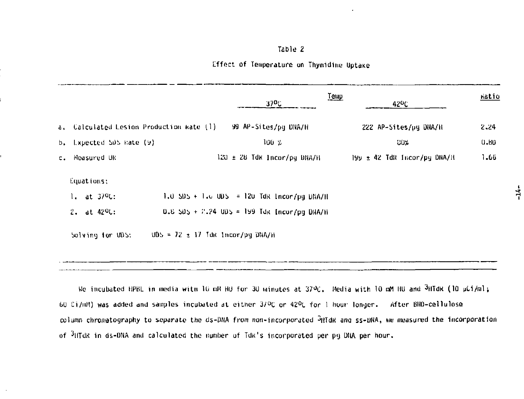#### **Table 2**

#### **Effect of Temperature on Thymidine Uptane**

|    |                                          |                                      | 370C                                             | Temp<br>42 <sup>0</sup> C   | Katio |
|----|------------------------------------------|--------------------------------------|--------------------------------------------------|-----------------------------|-------|
|    | a, Calculated Lesion Production kate (1) |                                      | 99 AP-Sites/pg DNA/H                             | 222 AP-Sites/pg DNA/H       | 2.24  |
|    | b, Lxpected SDS Rate (9)                 |                                      | 100 %                                            | <b>CO%</b>                  | 0.80  |
| c. | Measured UK                              |                                      | $120 \pm 28$ Tdk Incor/pg DNA/H                  | 199 ± 42 TdR Incor/pg DNA/H | 1.66  |
|    | Lquations:                               |                                      |                                                  |                             |       |
|    | $1.$ at $379$ .                          |                                      | 1.0 $SDS + 1.0$ UDS = 120 TdR 1ncor/pq DNA/H     |                             |       |
|    | $2.$ at $42^{\circ}$ C:                  |                                      | $0.8$ SDS + $7.24$ UDS = 199 TdR [ncor/pg DNA/H] |                             |       |
|    | Solving for UDS:                         | $005 = 72 \pm 17$ Tak Incor/pg DNA/H |                                                  |                             |       |

We incubated HPBL in media with 10 mM HO for 30 Minutes at 370C. Media with 10 mM HO and 3HTdK (10 pdi/ml; 60 Ci/mM) was added and samples incubated at either 3/°E or 42°L fo r 1 hour longer. After BND-cellulosQ column chromatography to separate the ds-DNA from non-incorporated  ${}^{3}$ HTdK ang ss-DNA, we measured the incorporation of  $3$ HTdR in ds-DNA and calculated the number of TdR's incorporated per pg DNA per hour.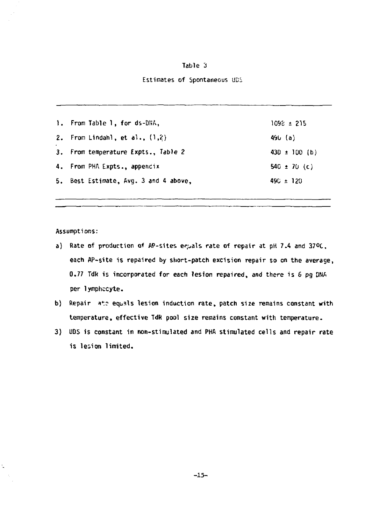### Table 3

## Estimates of Spontaneous UDS

| 1. From Table 1, for ds-DNA,          | 1098 ± 215        |
|---------------------------------------|-------------------|
| 2. From Lindahl, et al., $(1,2)$      | 490 (a)           |
| 3. From temperature Expts., Table 2   | $430 \pm 100$ (b) |
| 4. From PHA Expts., appencix          | 540 $\pm$ 70 (c)  |
| 5. Best Estimate, Avg. 3 and 4 above, | $490 \pm 120$     |

Assumptions:

Ŷ,

- a) Rate of production of AP-sites equals rate of repair at pH 7.4 and 37°C. each AP-site is repaired by stiort-patch excision repair so on the average, 0.77 TdR is incorporated for each lesion repaired, and there is 6 pg DNA per lymphocyte.
- b) Repair ate equals lesion induction rate, patch size remains constant with temperature, effective TdR pool size remains constant with temperature.
- 3) UDS is constant in non-stimulated and PHA stimulated cells and repair rate is lesion limited.

**-15 -**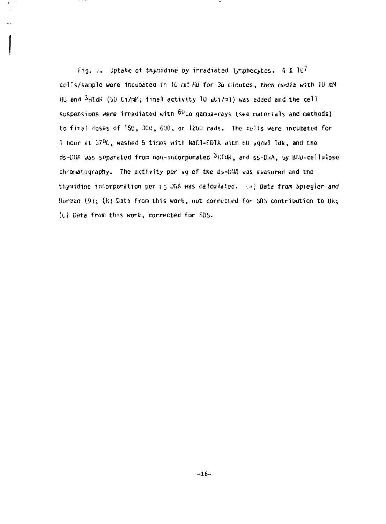Fig. 1. Uptake of thymidine by irradiated lymphocytes.  $4 \times 10^7$ cells/sample were incubated in 10 mH HU for 36 minutes, then redia with 10 mM HU and  $3$ HTdR (50 Ci/mM; final activity 10  $\mu$ Ci/ml) was added and the cell suspensions were irradiated with  $^{60}$ Co gamma-rays (see materials and methods) to final doses of I5C, 30C, 600, or 1200 rads. The cells were incubated for 1 hour at 37°C, washed 5 times with NaCl-EDTA with 60 µg/wl Tdk, and the ds-DIIA was separated from non-incorporated  $3$ HTUR, and ss-DNA, by BiW-cellulose chromatography. The activity per ug of the ds-DMA was measured and the thymidine incorporation per 15 Uf.A was calculated, *I.A)* Data from Spiegler *and*  llorman  $(9)$ ;  $(B)$  Data from this work, not corrected for SDS contribution to UK; (0) Data from this work, corrected for SDb.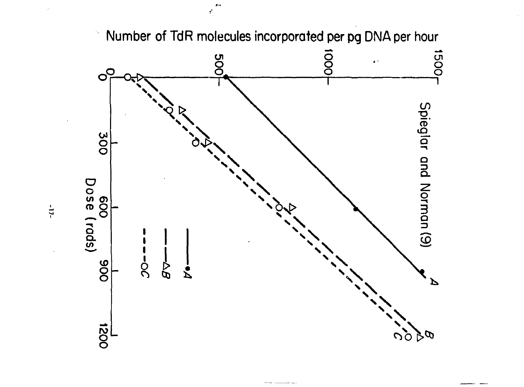

**Number of TdR molecules incorporated per pg DNA per hour** 

 $-11-$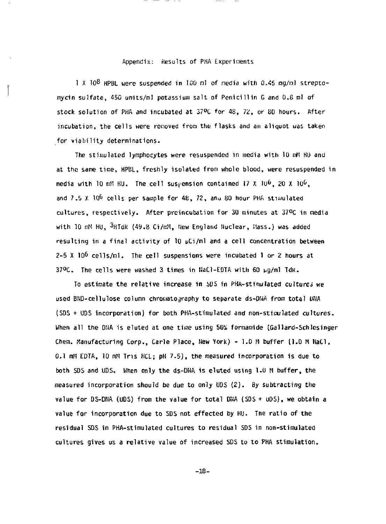#### Appendix: Results of PHA Experiments

1 X  $10^8$  HPBL were suspended in 100 ml of media with 0.45 mg/ml streptomycin sulfate, 450 units/ml potassium salt of Penicillin G and 0.8 ml of stock solution of PHA and incubated at 37°C for 48, 72, or B0 hours. After incubation, the cells were removed from the flasks and an aliquot was taken for viability determinations.

The stimulated lymphocytes were resuspended in media with 10 nM HU and at the same time, HPBL, freshly isolated from whole blood, were resuspended in media with  $10$  mH HU. The cell suspension contained 17 X  $10^6$ , 20 X  $10^6$ , and  $7.5$  X  $10^6$  cells per sample for  $48$ ,  $72$ , an $\scriptstyle\rm \sim 80$  hour PHA stimulated cultures , respectively. After preincubation for 30 minutes at 37°C in nedia with 10 mM HU, <sup>3</sup>HTdR (49.8 Ci/mM, New England Nuclear, Mass.) was added resulting in a final activity of 10  $\mu$ Ci/ml and a cell concentration between  $2-5$  X 10<sup>6</sup> cells/ml. The cell suspensions were incubated 1 or 2 hours at 37°C. The cells were washed 3 times in HaCl-EDTA with 60 µg/ml Tdk.

To estimate the relative increase in si)S in PKA-stimulated cultures we used BND-cellulose column chromatography to separate ds-DNA from total DNA (SOS + UDS incorporation) for both PHA-stimulated and non-stiiaulated cultures. When all the DNA is eluted at one time using 50% formamide (Gallard-Schlesinger Chem. Manufacturing Corp., Carle Place, Hew York) - 1.0 M buffer (1.0 M HaCl, 0.1 mM EDTA, 10 mM Tris HCL; pH 7.5), the measured incorporation is due to both SDS and UDS, When only the ds-DNA is eluted using 1.0 M buffer, the measured incorporation should be due to only UDS (2). By subtracting the value for DS-DNA (UDS) from the value for total DNA (SDS + UDS), we obtain a value for incorporation due to SDS not effected by HU. The ratio of the residual SDS in PHA-stimulated cultures to residual SDS in non-stimulated cultures gives us a relative value of increased SDS to to PHA stimulation.

**-18-**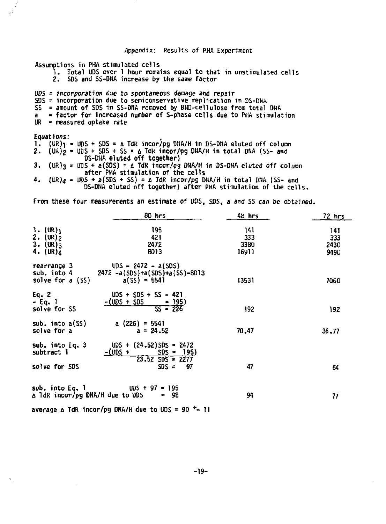| Appendix: Results of PHA Experiment                                                                                                                                                                                                                                                                                |
|--------------------------------------------------------------------------------------------------------------------------------------------------------------------------------------------------------------------------------------------------------------------------------------------------------------------|
| Assumptions in PHA stimulated cells<br>1. Total UDS over 1 hour remains equal to that in unstimulated cells<br>2. SDS and SS-DNA increase by the same factor                                                                                                                                                       |
| $UDS = incorporation$ due to spontaneous damage and repair<br>SDS = incorporation due to semiconservative replication in DS-DNA<br>SS = amount of SDS in SS-DNA removed by BND-cellulose from total DNA<br>= factor for increased number of S-phase cells due to PHA stimulation<br>a<br>UR = measured uptake rate |
| Equations:                                                                                                                                                                                                                                                                                                         |
| 1. $(UR)_1 = UDS + SDS = \Delta TdR$ incor/pg DNA/H in DS-DNA eluted off column                                                                                                                                                                                                                                    |
| 2. $(UR)_2 = UDS + SDS + SS = \Delta Tdk$ incor/pg DNA/H in total DNA (SS- and                                                                                                                                                                                                                                     |
| DS-DHA eluted off together)                                                                                                                                                                                                                                                                                        |
| $(UR)$ <sub>3</sub> = UDS + a(SDS) = $\Delta$ TdR incor/pg DNA/H in DS-DNA eluted off column<br>з.<br>after PHA stimulation of the cells                                                                                                                                                                           |

**4.** *IVRU* **=** *WS \** **a(SDS + SS) = A TdR incor/pg DHA/H in total DNA (SS- and DS-DNA eluted off together) after PHA stimulation of the cells.** 

**From these four measurements an estimate of UDS, SDS, a and SS can be obtained.** 

|                                          | 80 hrs                                  | 48 hrs | 72 hrs |
|------------------------------------------|-----------------------------------------|--------|--------|
| $1. (UR)_1$                              | 195                                     | 141    | 141    |
|                                          | 421                                     | 333    | 333    |
| 2. $(\text{UR})_2$<br>3. $(\text{UR})_3$ | 2472                                    | 3380   | 2430   |
|                                          | 8013                                    |        |        |
| 4. $(UR)$ <sub>4</sub>                   |                                         | 16911  | 9490   |
| rearrange 3                              | $UDS = 2472 - a(SDS)$                   |        |        |
| sub. into 4                              | $2472 - a(SDS) + a(SDS) + a(SS) = 8013$ |        |        |
|                                          | $a(SS) = 5541$                          |        |        |
| solve for a (SS)                         |                                         | 13531  | 7060   |
| Eq. 2                                    | $UDS + SDS + SS = 421$                  |        |        |
| - Eq. 1                                  | $-$ (UDS + SDS<br><u>= 195)</u>         |        |        |
| solve for SS                             | $55 = 226$                              | 192    |        |
|                                          |                                         |        | 192    |
| sub. $into a(SS)$                        | a $(226) = 5541$                        |        |        |
| solve for a                              | $a = 24.52$                             | 70.47  | 36, 77 |
|                                          |                                         |        |        |
| sub. into Eq. 3                          | $UDS + (24.52)SDS = 2472$               |        |        |
| subtract 1                               | $-$ (UDS $+$<br>$SDS = 195$             |        |        |
|                                          | $23.52$ SDS = 2277                      |        |        |
| solve for SDS                            | $SDS =$<br>-97                          | 47     |        |
|                                          |                                         |        | 64     |
|                                          |                                         |        |        |
| sub, into Eq. 1                          | $UDS + 97 = 195$                        |        |        |
| A TdR incor/pg DNA/H due to UDS          | - 98                                    | 94     | 77     |
|                                          |                                         |        |        |

**average A TdR incor/pg DNA/H due to UDS = 90 <sup>+</sup> - II**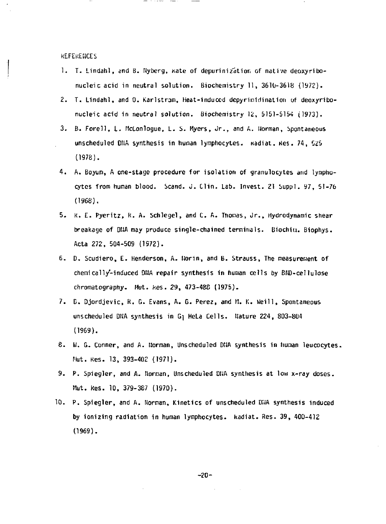**KEFEKEHCES** 

- 1. I. Lindahl, and B. Hyberg, kate of depurinization of native deoxyribonucleic acid in neutral solution. Biochemistry 11, 3610-3618 {1972).
- 2. T. Lindahl, and 0. Karlstram, Heat-induced depyri nidi nation of deoxyribonucleic acid in neutral solution. Biochemistry 12, 5151-5154 (1973).
- 3. B. Forell , L. McConlogue, L. S. Myers, Jr. , and A. Uorman, Spontaneous unscheduled DNA synthesis in human lymphocytes. Radiat. Res. 74, 525 (1978).
- 4. A. Boyum, A one-stage procedure for isolation of granulocytes and lymphocytes from human blood. Scand. J. Clin. Lab. Invest. 21 Suppl. 97, 51-76 (1968).
- 5. K. E. Pyeritz , K. A. Schlegel, and C. A. Thonas, Jr. , Hydrodynanic shear breakage of DIIA nay produce single-chained terminals. Biochiu. Biophys. Acta 272, 504-509 (1972).
- 6. D. Scudiero, E. Henderson, A. Ilorin, and B. Strauss, The measurement of chemically-induced DIIA repair synthesis in human cells by BID-cellulose chromatography. Mut. kes. 29, 473-488 (1975).
- 7. B. Djordjevic, K. G. Evans, A. G. Perez, and H. K. Weill , Spontaneous unscheduled DNA synthesis in G<sub>1</sub> HeLa Cells. Nature 224, 803-804 (1969).
- 8. H. G. Conner, and A. Norman, Unscheduled DTJA synthesis in hunan leucocytes. Mut. Kes. 13, 393-402 (1971).
- 9. P. Spiegler, and A. tlornan, Unscheduled DIJA synthesis at low x-ray doses. Mut. kes. 10, 379-387 (1970).
- 10. P. Spiegler, and A. Norman, Kinetics of unscheduled DIIA synthesis induced by ionizing radiation in hunan lymphocytes, kadiat. Res. 39, 400-412 (1969).